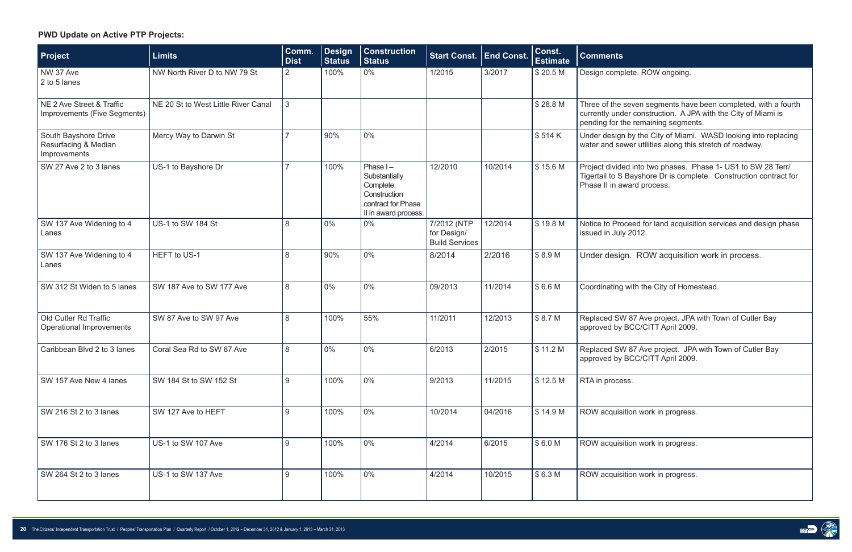| Project                                                      | <b>Limits</b>                       | Comm.<br><b>Dist</b> | <b>Design</b><br><b>Status</b> | <b>Construction</b><br><b>Status</b>                                                                    | <b>Start Const.</b>                                 | <b>End Const.</b> | Const.<br><b>Estimate</b> | <b>Comments</b>                                              |
|--------------------------------------------------------------|-------------------------------------|----------------------|--------------------------------|---------------------------------------------------------------------------------------------------------|-----------------------------------------------------|-------------------|---------------------------|--------------------------------------------------------------|
| NW 37 Ave<br>2 to 5 lanes                                    | NW North River D to NW 79 St        | 2                    | 100%                           | $0\%$                                                                                                   | 1/2015                                              | 3/2017            | \$20.5 M                  | Design complete                                              |
| NE 2 Ave Street & Traffic<br>Improvements (Five Segments)    | NE 20 St to West Little River Canal | 3                    |                                |                                                                                                         |                                                     |                   | \$28.8 M                  | Three of the sev<br>currently under o<br>pending for the r   |
| South Bayshore Drive<br>Resurfacing & Median<br>Improvements | Mercy Way to Darwin St              |                      | 90%                            | $0\%$                                                                                                   |                                                     |                   | \$514K                    | Under design by<br>water and sewer                           |
| SW 27 Ave 2 to 3 lanes                                       | US-1 to Bayshore Dr                 | 7                    | 100%                           | Phase $I -$<br>Substantially<br>Complete.<br>Construction<br>contract for Phase<br>II in award process. | 12/2010                                             | 10/2014           | \$15.6 M                  | Project divided in<br>Tigertail to S Bay<br>Phase II in awar |
| SW 137 Ave Widening to 4<br>Lanes                            | US-1 to SW 184 St                   | 8                    | $0\%$                          | $0\%$                                                                                                   | 7/2012 (NTP<br>for Design/<br><b>Build Services</b> | 12/2014           | \$19.8 M                  | Notice to Procee<br>issued in July 20                        |
| SW 137 Ave Widening to 4<br>Lanes                            | HEFT to US-1                        | 8                    | 90%                            | $0\%$                                                                                                   | 8/2014                                              | 2/2016            | \$8.9M                    | Under design.                                                |
| SW 312 St Widen to 5 lanes                                   | SW 187 Ave to SW 177 Ave            | 8                    | $0\%$                          | $0\%$                                                                                                   | 09/2013                                             | 11/2014           | \$6.6M                    | Coordinating wit                                             |
| Old Cutler Rd Traffic<br>Operational Improvements            | SW 87 Ave to SW 97 Ave              | 8                    | 100%                           | 55%                                                                                                     | 11/2011                                             | 12/2013           | \$8.7 M                   | Replaced SW 87<br>approved by BC                             |
| Caribbean Blvd 2 to 3 lanes                                  | Coral Sea Rd to SW 87 Ave           | 8                    | $0\%$                          | $0\%$                                                                                                   | 6/2013                                              | 2/2015            | \$11.2 M                  | Replaced SW 87<br>approved by BC                             |
| SW 157 Ave New 4 lanes                                       | SW 184 St to SW 152 St              | 9                    | 100%                           | $0\%$                                                                                                   | 9/2013                                              | 11/2015           | \$12.5 M                  | RTA in process.                                              |
| SW 216 St 2 to 3 lanes                                       | SW 127 Ave to HEFT                  | 9                    | 100%                           | 0%                                                                                                      | 10/2014                                             | 04/2016           | \$14.9 M                  | <b>ROW</b> acquisition                                       |
| SW 176 St 2 to 3 lanes                                       | US-1 to SW 107 Ave                  | 9                    | 100%                           | $0\%$                                                                                                   | 4/2014                                              | 6/2015            | \$6.0M                    | <b>ROW</b> acquisition                                       |
| SW 264 St 2 to 3 lanes                                       | US-1 to SW 137 Ave                  | 9                    | 100%                           | 0%                                                                                                      | 4/2014                                              | 10/2015           | \$6.3M                    | <b>ROW</b> acquisition                                       |

Nete. ROW ongoing.

seven segments have been completed, with a fourth ler construction. A JPA with the City of Miami is he remaining segments.

i by the City of Miami. WASD looking into replacing wer utilities along this stretch of roadway.

ed into two phases. Phase 1- US1 to SW 28 Terr/ Bayshore Dr is complete. Construction contract for ward process.

ceed for land acquisition services and design phase  $2012.$ 

In. ROW acquisition work in process.

with the City of Homestead.

87 Ave project. JPA with Town of Cutler Bay BCC/CITT April 2009.

87 Ave project. JPA with Town of Cutler Bay BCC/CITT April 2009.

ition work in progress.

ition work in progress.

ition work in progress.





## **PWD Update on Active PTP Projects:**